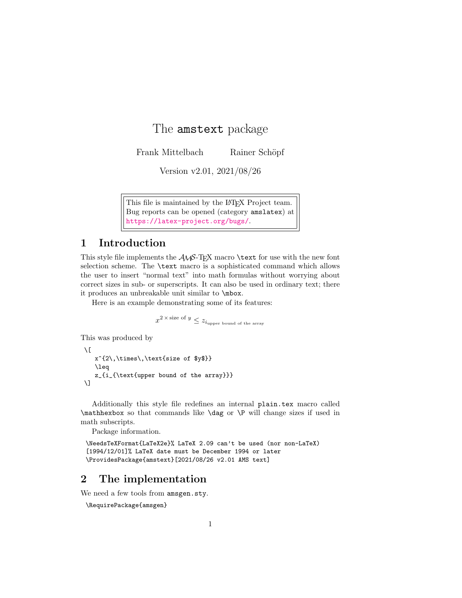# The amstext package

Frank Mittelbach Rainer Schöpf

Version v2.01, 2021/08/26

This file is maintained by the L<sup>AT</sup>EX Project team. Bug reports can be opened (category amslatex) at <https://latex-project.org/bugs/>.

# 1 Introduction

This style file implements the  $\mathcal{A}\mathcal{A}\mathcal{S}$ -TEX macro **\text** for use with the new font selection scheme. The \text macro is a sophisticated command which allows the user to insert "normal text" into math formulas without worrying about correct sizes in sub- or superscripts. It can also be used in ordinary text; there it produces an unbreakable unit similar to \mbox.

Here is an example demonstrating some of its features:

```
x^{2\times \text{size of } y}\leq z_{i_{\text{upper bound of the array}}}
```
This was produced by

```
\sqrt{2}x^{2}\,\times\\leq
   z_{i_{\text{upper bound of the array}}}
\setminus]
```
Additionally this style file redefines an internal plain.tex macro called \mathhexbox so that commands like \dag or \P will change sizes if used in math subscripts.

Package information.

```
\NeedsTeXFormat{LaTeX2e}% LaTeX 2.09 can't be used (nor non-LaTeX)
[1994/12/01]% LaTeX date must be December 1994 or later
\ProvidesPackage{amstext}[2021/08/26 v2.01 AMS text]
```
# 2 The implementation

We need a few tools from amsgen.sty.

\RequirePackage{amsgen}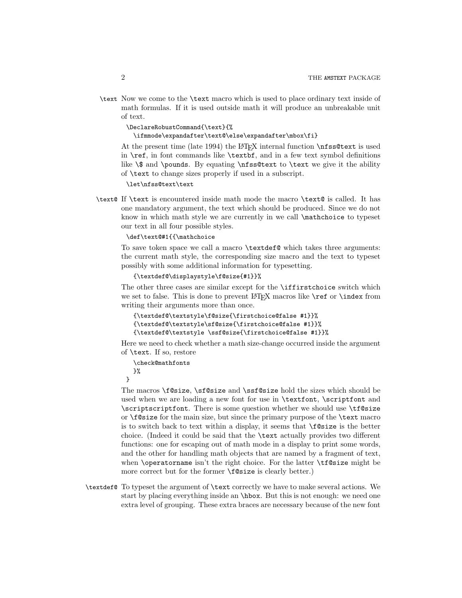\text Now we come to the \text macro which is used to place ordinary text inside of math formulas. If it is used outside math it will produce an unbreakable unit of text.

\DeclareRobustCommand{\text}{%

\ifmmode\expandafter\text@\else\expandafter\mbox\fi}

At the present time (late 1994) the LATEX internal function \nfss@text is used in  $\ref{$ , in font commands like  $\text{text of}$ , and in a few text symbol definitions like  $\$  and  $\pmod{S}$ . By equating  $\nf \text{ to } \text{ we give it the ability}$ of \text to change sizes properly if used in a subscript.

\let\nfss@text\text

\text@ If \text is encountered inside math mode the macro \text@ is called. It has one mandatory argument, the text which should be produced. Since we do not know in which math style we are currently in we call \mathchoice to typeset our text in all four possible styles.

### \def\text@#1{{\mathchoice

To save token space we call a macro \textdef@ which takes three arguments: the current math style, the corresponding size macro and the text to typeset possibly with some additional information for typesetting.

```
{\textdef@\displaystyle\f@size{#1}}%
```
The other three cases are similar except for the **\iffirstchoice** switch which we set to false. This is done to prevent  $\rm ETK$  macros like  $\text{ref}$  or  $\text{index from}$ writing their arguments more than once.

```
{\textdef@\textstyle\f@size{\firstchoice@false #1}}%
{\textdef@\textstyle\sf@size{\firstchoice@false #1}}%
{\textdef@\textstyle \ssf@size{\firstchoice@false #1}}%
```
Here we need to check whether a math size-change occurred inside the argument of \text. If so, restore

```
\check@mathfonts
}%
```
}

The macros \f@size, \sf@size and \ssf@size hold the sizes which should be used when we are loading a new font for use in \textfont, \scriptfont and \scriptscriptfont. There is some question whether we should use \tf@size or \f@size for the main size, but since the primary purpose of the \text macro is to switch back to text within a display, it seems that \f@size is the better choice. (Indeed it could be said that the \text actually provides two different functions: one for escaping out of math mode in a display to print some words, and the other for handling math objects that are named by a fragment of text, when **\operatorname** isn't the right choice. For the latter **\tf@size** might be more correct but for the former \f@size is clearly better.)

\textdef@ To typeset the argument of \text correctly we have to make several actions. We start by placing everything inside an \hbox. But this is not enough: we need one extra level of grouping. These extra braces are necessary because of the new font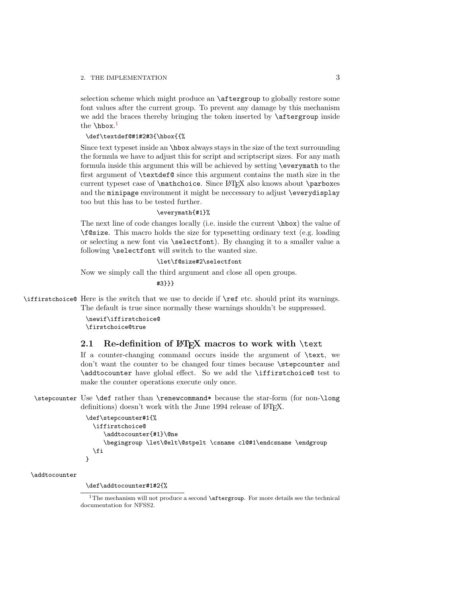### 2. THE IMPLEMENTATION 3

selection scheme which might produce an **\aftergroup** to globally restore some font values after the current group. To prevent any damage by this mechanism we add the braces thereby bringing the token inserted by \aftergroup inside the  $\hbox{\tt \textbackslash}$ 

### \def\textdef@#1#2#3{\hbox{{%

Since text typeset inside an \hbox always stays in the size of the text surrounding the formula we have to adjust this for script and scriptscript sizes. For any math formula inside this argument this will be achieved by setting \everymath to the first argument of \textdef@ since this argument contains the math size in the current typeset case of **\mathchoice**. Since LAT<sub>E</sub>X also knows about **\parboxes** and the minipage environment it might be neccessary to adjust \everydisplay too but this has to be tested further.

#### \everymath{#1}%

The next line of code changes locally (i.e. inside the current \hbox) the value of \f@size. This macro holds the size for typesetting ordinary text (e.g. loading or selecting a new font via \selectfont). By changing it to a smaller value a following \selectfont will switch to the wanted size.

### \let\f@size#2\selectfont

Now we simply call the third argument and close all open groups.

#3}}}

\iffirstchoice@ Here is the switch that we use to decide if \ref etc. should print its warnings. The default is true since normally these warnings shouldn't be suppressed.

> \newif\iffirstchoice@ \firstchoice@true

# 2.1 Re-definition of LATEX macros to work with \text

If a counter-changing command occurs inside the argument of \text, we don't want the counter to be changed four times because \stepcounter and \addtocounter have global effect. So we add the \iffirstchoice@ test to make the counter operations execute only once.

\stepcounter Use \def rather than \renewcommand\* because the star-form (for non-\long definitions) doesn't work with the June 1994 release of IATEX.

```
\def\stepcounter#1{%
  \iffirstchoice@
     \addtocounter{#1}\@ne
     \begingroup \let\@elt\@stpelt \csname cl@#1\endcsname \endgroup
  \fi
}
```
\addtocounter

\def\addtocounter#1#2{%

<span id="page-2-0"></span> $1$ The mechanism will not produce a second  $\setminus$  aftergroup. For more details see the technical documentation for NFSS2.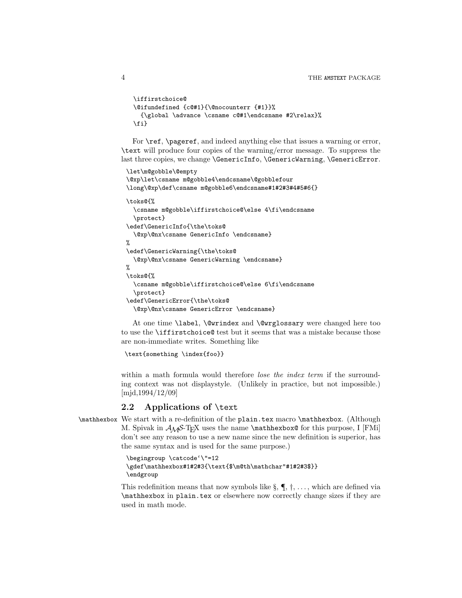```
\iffirstchoice@
\@ifundefined {c@#1}{\@nocounterr {#1}}%
  {\global \advance \csname c@#1\endcsname #2\relax}%
\fi}
```
For \ref, \pageref, and indeed anything else that issues a warning or error, \text will produce four copies of the warning/error message. To suppress the last three copies, we change \GenericInfo, \GenericWarning, \GenericError.

```
\let\m@gobble\@empty
\@xp\let\csname m@gobble4\endcsname\@gobblefour
\long\@xp\def\csname m@gobble6\endcsname#1#2#3#4#5#6{}
\toks@{%
 \csname m@gobble\iffirstchoice@\else 4\fi\endcsname
  \protect}
\edef\GenericInfo{\the\toks@
  \@xp\@nx\csname GenericInfo \endcsname}
%
\edef\GenericWarning{\the\toks@
 \@xp\@nx\csname GenericWarning \endcsname}
%
\toks@{%
 \csname m@gobble\iffirstchoice@\else 6\fi\endcsname
  \protect}
\edef\GenericError{\the\toks@
  \@xp\@nx\csname GenericError \endcsname}
```
At one time \label, \@wrindex and \@wrglossary were changed here too to use the \iffirstchoice@ test but it seems that was a mistake because those are non-immediate writes. Something like

```
\text{something \index{foo}}
```
within a math formula would therefore *lose the index term* if the surrounding context was not displaystyle. (Unlikely in practice, but not impossible.) [mjd,1994/12/09]

## 2.2 Applications of \text

\mathhexbox We start with a re-definition of the plain.tex macro \mathhexbox. (Although M. Spivak in  $A\mathcal{M}S$ -TFX uses the name **\mathhexbox@** for this purpose, I [FMi] don't see any reason to use a new name since the new definition is superior, has the same syntax and is used for the same purpose.)

```
\begingroup \catcode'\"=12
\gdef\mathhexbox#1#2#3{\text{$\m@th\mathchar"#1#2#3$}}
\endgroup
```
This redefinition means that now symbols like  $\S$ ,  $\P$ ,  $\dagger$ , ..., which are defined via \mathhexbox in plain.tex or elsewhere now correctly change sizes if they are used in math mode.